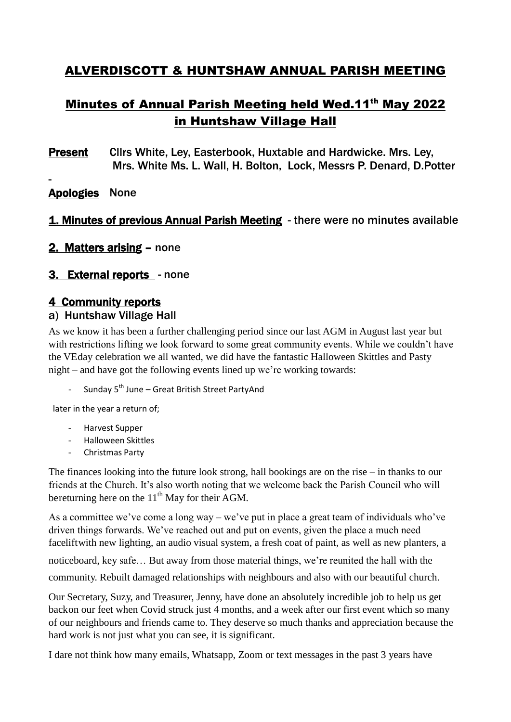# ALVERDISCOTT & HUNTSHAW ANNUAL PARISH MEETING

# Minutes of Annual Parish Meeting held Wed.11<sup>th</sup> May 2022 in Huntshaw Village Hall

Present Cllrs White, Ley, Easterbook, Huxtable and Hardwicke. Mrs. Ley, Mrs. White Ms. L. Wall, H. Bolton, Lock, Messrs P. Denard, D.Potter

## Apologies None

-

## 1. Minutes of previous Annual Parish Meeting - there were no minutes available

2. Matters arising – none

### 3. External reports - none

#### 4 Community reports

#### a) Huntshaw Village Hall

As we know it has been a further challenging period since our last AGM in August last year but with restrictions lifting we look forward to some great community events. While we couldn't have the VEday celebration we all wanted, we did have the fantastic Halloween Skittles and Pasty night – and have got the following events lined up we're working towards:

Sunday 5<sup>th</sup> June – Great British Street PartyAnd

later in the year a return of;

- Harvest Supper
- Halloween Skittles
- Christmas Party

The finances looking into the future look strong, hall bookings are on the rise – in thanks to our friends at the Church. It's also worth noting that we welcome back the Parish Council who will bereturning here on the  $11<sup>th</sup>$  May for their AGM.

As a committee we've come a long way – we've put in place a great team of individuals who've driven things forwards. We've reached out and put on events, given the place a much need faceliftwith new lighting, an audio visual system, a fresh coat of paint, as well as new planters, a noticeboard, key safe… But away from those material things, we're reunited the hall with the community. Rebuilt damaged relationships with neighbours and also with our beautiful church.

Our Secretary, Suzy, and Treasurer, Jenny, have done an absolutely incredible job to help us get backon our feet when Covid struck just 4 months, and a week after our first event which so many of our neighbours and friends came to. They deserve so much thanks and appreciation because the hard work is not just what you can see, it is significant.

I dare not think how many emails, Whatsapp, Zoom or text messages in the past 3 years have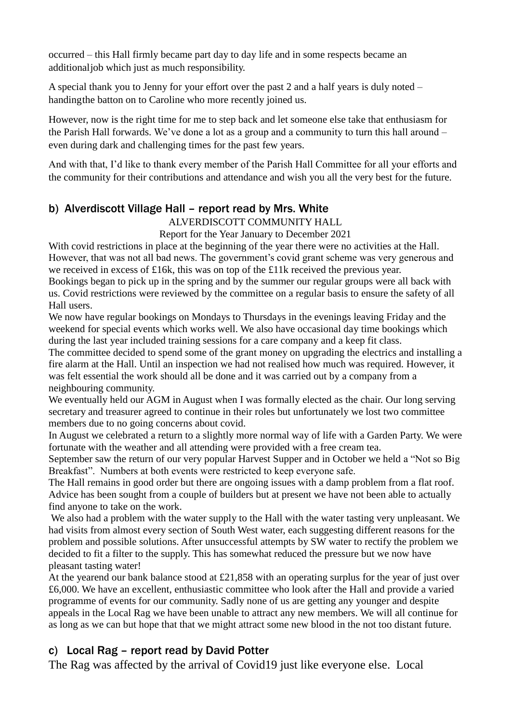occurred – this Hall firmly became part day to day life and in some respects became an additionaljob which just as much responsibility.

A special thank you to Jenny for your effort over the past 2 and a half years is duly noted – handingthe batton on to Caroline who more recently joined us.

However, now is the right time for me to step back and let someone else take that enthusiasm for the Parish Hall forwards. We've done a lot as a group and a community to turn this hall around – even during dark and challenging times for the past few years.

And with that, I'd like to thank every member of the Parish Hall Committee for all your efforts and the community for their contributions and attendance and wish you all the very best for the future.

### b) Alverdiscott Village Hall – report read by Mrs. White

ALVERDISCOTT COMMUNITY HALL

Report for the Year January to December 2021

With covid restrictions in place at the beginning of the year there were no activities at the Hall. However, that was not all bad news. The government's covid grant scheme was very generous and we received in excess of £16k, this was on top of the £11k received the previous year.

Bookings began to pick up in the spring and by the summer our regular groups were all back with us. Covid restrictions were reviewed by the committee on a regular basis to ensure the safety of all Hall users.

We now have regular bookings on Mondays to Thursdays in the evenings leaving Friday and the weekend for special events which works well. We also have occasional day time bookings which during the last year included training sessions for a care company and a keep fit class.

The committee decided to spend some of the grant money on upgrading the electrics and installing a fire alarm at the Hall. Until an inspection we had not realised how much was required. However, it was felt essential the work should all be done and it was carried out by a company from a neighbouring community.

We eventually held our AGM in August when I was formally elected as the chair. Our long serving secretary and treasurer agreed to continue in their roles but unfortunately we lost two committee members due to no going concerns about covid.

In August we celebrated a return to a slightly more normal way of life with a Garden Party. We were fortunate with the weather and all attending were provided with a free cream tea.

September saw the return of our very popular Harvest Supper and in October we held a "Not so Big Breakfast". Numbers at both events were restricted to keep everyone safe.

The Hall remains in good order but there are ongoing issues with a damp problem from a flat roof. Advice has been sought from a couple of builders but at present we have not been able to actually find anyone to take on the work.

We also had a problem with the water supply to the Hall with the water tasting very unpleasant. We had visits from almost every section of South West water, each suggesting different reasons for the problem and possible solutions. After unsuccessful attempts by SW water to rectify the problem we decided to fit a filter to the supply. This has somewhat reduced the pressure but we now have pleasant tasting water!

At the yearend our bank balance stood at  $\text{\pounds}21.858$  with an operating surplus for the year of just over £6,000. We have an excellent, enthusiastic committee who look after the Hall and provide a varied programme of events for our community. Sadly none of us are getting any younger and despite appeals in the Local Rag we have been unable to attract any new members. We will all continue for as long as we can but hope that that we might attract some new blood in the not too distant future.

# c) Local Rag – report read by David Potter

The Rag was affected by the arrival of Covid19 just like everyone else. Local